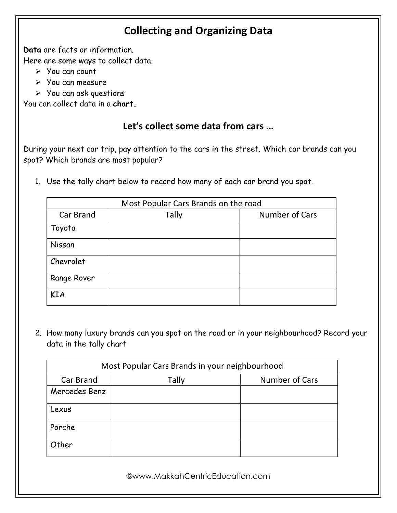## **Collecting and Organizing Data**

**Data** are facts or information.

Here are some ways to collect data.

- ➢ You can count
- ➢ You can measure
- ➢ You can ask questions

You can collect data in a **chart.**

## **Let's collect some data from cars …**

During your next car trip, pay attention to the cars in the street. Which car brands can you spot? Which brands are most popular?

1. Use the tally chart below to record how many of each car brand you spot.

|             | Most Popular Cars Brands on the road |                |  |
|-------------|--------------------------------------|----------------|--|
| Car Brand   | <b>Tally</b>                         | Number of Cars |  |
| Toyota      |                                      |                |  |
| Nissan      |                                      |                |  |
| Chevrolet   |                                      |                |  |
| Range Rover |                                      |                |  |
| <b>KIA</b>  |                                      |                |  |

2. How many luxury brands can you spot on the road or in your neighbourhood? Record your data in the tally chart

| Most Popular Cars Brands in your neighbourhood |       |                |
|------------------------------------------------|-------|----------------|
| Car Brand                                      | Tally | Number of Cars |
| Mercedes Benz                                  |       |                |
| Lexus                                          |       |                |
| Porche                                         |       |                |
| Other                                          |       |                |

©www.MakkahCentricEducation.com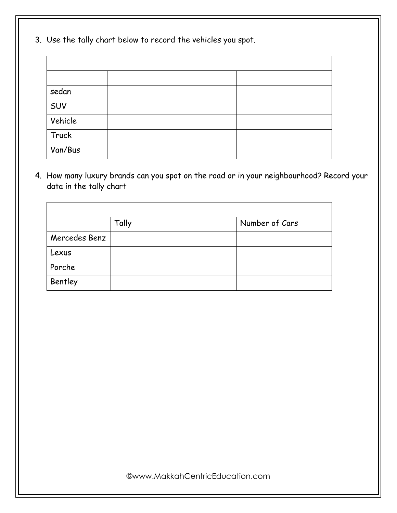3. Use the tally chart below to record the vehicles you spot.

| sedan   |  |
|---------|--|
| SUV     |  |
| Vehicle |  |
| Truck   |  |
| Van/Bus |  |

4. How many luxury brands can you spot on the road or in your neighbourhood? Record your data in the tally chart

|               | Tally | Number of Cars |
|---------------|-------|----------------|
| Mercedes Benz |       |                |
| Lexus         |       |                |
| Porche        |       |                |
| Bentley       |       |                |

©www.MakkahCentricEducation.com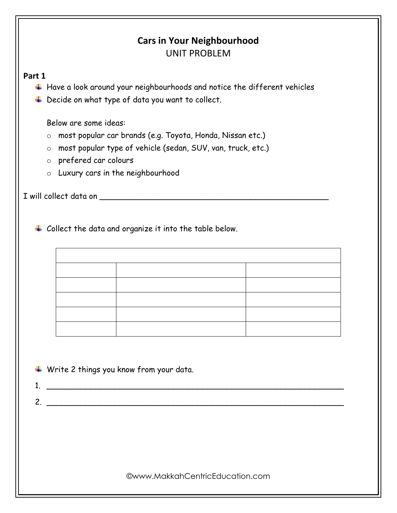|              | <b>Cars in Your Neighbourhood</b><br><b>UNIT PROBLEM</b>                                                                                                                                                                                                  |
|--------------|-----------------------------------------------------------------------------------------------------------------------------------------------------------------------------------------------------------------------------------------------------------|
| Part 1<br>₩  | $\ddag$ Have a look around your neighbourhoods and notice the different vehicles<br>Decide on what type of data you want to collect.                                                                                                                      |
|              | Below are some ideas:<br>most popular car brands (e.g. Toyota, Honda, Nissan etc.)<br>$\circ$<br>most popular type of vehicle (sedan, SUV, van, truck, etc.)<br>$\circ$<br>prefered car colours<br>$\circ$<br>Luxury cars in the neighbourhood<br>$\circ$ |
|              |                                                                                                                                                                                                                                                           |
|              |                                                                                                                                                                                                                                                           |
|              |                                                                                                                                                                                                                                                           |
| $\mathbf{1}$ | $\ddotplus$ Write 2 things you know from your data.                                                                                                                                                                                                       |
| 2.           |                                                                                                                                                                                                                                                           |
|              |                                                                                                                                                                                                                                                           |
|              | <b>@www.MakkahCentricEducation.com</b>                                                                                                                                                                                                                    |